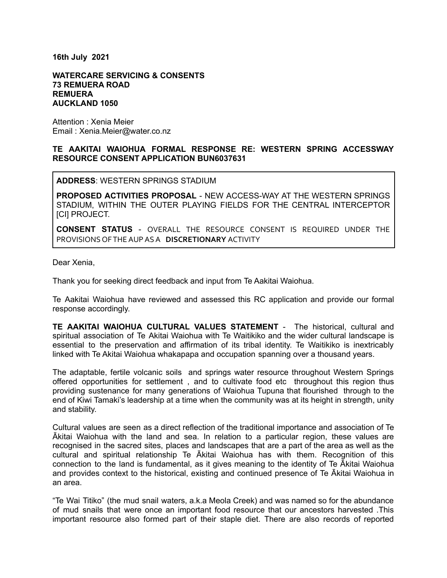**16th July 2021**

## **WATERCARE SERVICING & CONSENTS 73 REMUERA ROAD REMUERA AUCKLAND 1050**

Attention : Xenia Meier Email : Xenia.Meier@water.co.nz

## **TE AAKITAI WAIOHUA FORMAL RESPONSE RE: WESTERN SPRING ACCESSWAY RESOURCE CONSENT APPLICATION BUN6037631**

**ADDRESS**: WESTERN SPRINGS STADIUM

**PROPOSED ACTIVITIES PROPOSAL** - NEW ACCESS-WAY AT THE WESTERN SPRINGS STADIUM, WITHIN THE OUTER PLAYING FIELDS FOR THE CENTRAL INTERCEPTOR [CI] PROJECT.

**CONSENT STATUS** - OVERALL THE RESOURCE CONSENT IS REQUIRED UNDER THE PROVISIONS OFTHEAUPASA **DISCRETIONARY** ACTIVITY

Dear Xenia,

Thank you for seeking direct feedback and input from Te Aakitai Waiohua.

Te Aakitai Waiohua have reviewed and assessed this RC application and provide our formal response accordingly.

**TE AAKITAI WAIOHUA CULTURAL VALUES STATEMENT** - The historical, cultural and spiritual association of Te Akitai Waiohua with Te Waitikiko and the wider cultural landscape is essential to the preservation and affirmation of its tribal identity. Te Waitikiko is inextricably linked with Te Akitai Waiohua whakapapa and occupation spanning over a thousand years.

The adaptable, fertile volcanic soils and springs water resource throughout Western Springs offered opportunities for settlement , and to cultivate food etc throughout this region thus providing sustenance for many generations of Waiohua Tupuna that flourished through to the end of Kiwi Tamaki's leadership at a time when the community was at its height in strength, unity and stability.

Cultural values are seen as a direct reflection of the traditional importance and association of Te Ākitai Waiohua with the land and sea. In relation to a particular region, these values are recognised in the sacred sites, places and landscapes that are a part of the area as well as the cultural and spiritual relationship Te Ākitai Waiohua has with them. Recognition of this connection to the land is fundamental, as it gives meaning to the identity of Te Ākitai Waiohua and provides context to the historical, existing and continued presence of Te Ākitai Waiohua in an area.

"Te Wai Titiko" (the mud snail waters, a.k.a Meola Creek) and was named so for the abundance of mud snails that were once an important food resource that our ancestors harvested .This important resource also formed part of their staple diet. There are also records of reported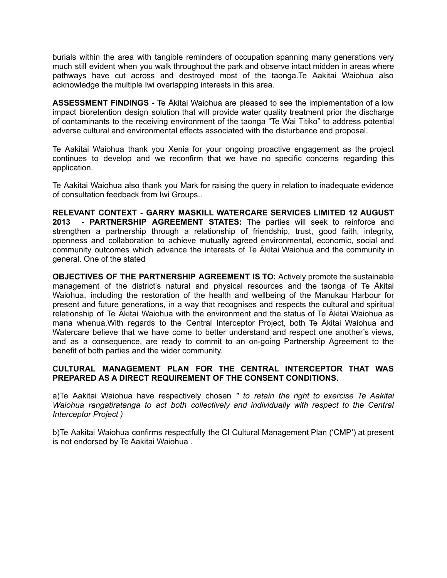burials within the area with tangible reminders of occupation spanning many generations very much still evident when you walk throughout the park and observe intact midden in areas where pathways have cut across and destroyed most of the taonga.Te Aakitai Waiohua also acknowledge the multiple Iwi overlapping interests in this area.

**ASSESSMENT FINDINGS -** Te Ākitai Waiohua are pleased to see the implementation of a low impact bioretention design solution that will provide water quality treatment prior the discharge of contaminants to the receiving environment of the taonga "Te Wai Titiko" to address potential adverse cultural and environmental effects associated with the disturbance and proposal.

Te Aakitai Waiohua thank you Xenia for your ongoing proactive engagement as the project continues to develop and we reconfirm that we have no specific concerns regarding this application.

Te Aakitai Waiohua also thank you Mark for raising the query in relation to inadequate evidence of consultation feedback from Iwi Groups..

**RELEVANT CONTEXT - GARRY MASKILL WATERCARE SERVICES LIMITED 12 AUGUST 2013 - PARTNERSHIP AGREEMENT STATES:** The parties will seek to reinforce and strengthen a partnership through a relationship of friendship, trust, good faith, integrity, openness and collaboration to achieve mutually agreed environmental, economic, social and community outcomes which advance the interests of Te Ākitai Waiohua and the community in general. One of the stated

**OBJECTIVES OF THE PARTNERSHIP AGREEMENT IS TO:** Actively promote the sustainable management of the district's natural and physical resources and the taonga of Te Ākitai Waiohua, including the restoration of the health and wellbeing of the Manukau Harbour for present and future generations, in a way that recognises and respects the cultural and spiritual relationship of Te Ākitai Waiohua with the environment and the status of Te Ākitai Waiohua as mana whenua.With regards to the Central Interceptor Project, both Te Ākitai Waiohua and Watercare believe that we have come to better understand and respect one another's views, and as a consequence, are ready to commit to an on-going Partnership Agreement to the benefit of both parties and the wider community.

## **CULTURAL MANAGEMENT PLAN FOR THE CENTRAL INTERCEPTOR THAT WAS PREPARED AS A DIRECT REQUIREMENT OF THE CONSENT CONDITIONS.**

a)Te Aakitai Waiohua have respectively chosen *" to retain the right to exercise Te Aakitai Waiohua rangatiratanga to act both collectively and individually with respect to the Central Interceptor Project )*

b)Te Aakitai Waiohua confirms respectfully the CI Cultural Management Plan ('CMP') at present is not endorsed by Te Aakitai Waiohua .